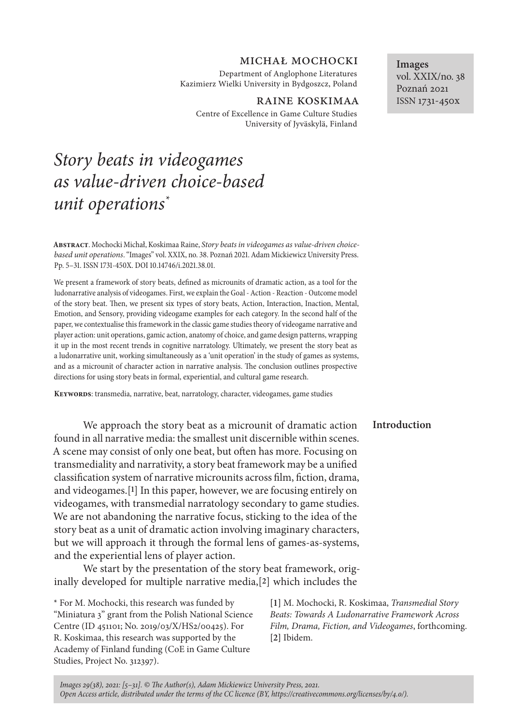# michał mochocki

Department of Anglophone Literatures Kazimierz Wielki University in Bydgoszcz, Poland

#### RAINE KOSKIMAA

Centre of Excellence in Game Culture Studies University of Jyväskylä, Finland

# *Story beats in videogames as value-driven choice-based unit operations\**

**Images** vol. XXIX/no. 38 Poznań 2021 ISSN 1731-450x

**Abstract**. Mochocki Michał, Koskimaa Raine, *Story beats in videogames as value-driven choicebased unit operations*. "Images" vol. XXIX, no. 38. Poznań 2021. Adam Mickiewicz University Press. Pp. 5–31. ISSN 1731-450X. DOI 10.14746/i.2021.38.01.

We present a framework of story beats, defined as microunits of dramatic action, as a tool for the ludonarrative analysis of videogames. First, we explain the Goal - Action - Reaction - Outcome model of the story beat. Then, we present six types of story beats, Action, Interaction, Inaction, Mental, Emotion, and Sensory, providing videogame examples for each category. In the second half of the paper, we contextualise this framework in the classic game studies theory of videogame narrative and player action: unit operations, gamic action, anatomy of choice, and game design patterns, wrapping it up in the most recent trends in cognitive narratology. Ultimately, we present the story beat as a ludonarrative unit, working simultaneously as a 'unit operation' in the study of games as systems, and as a microunit of character action in narrative analysis. The conclusion outlines prospective directions for using story beats in formal, experiential, and cultural game research.

**Keywords**: transmedia, narrative, beat, narratology, character, videogames, game studies

## **Introduction**

We approach the story beat as a microunit of dramatic action found in all narrative media: the smallest unit discernible within scenes. A scene may consist of only one beat, but often has more. Focusing on transmediality and narrativity, a story beat framework may be a unified classification system of narrative microunits across film, fiction, drama, and videogames.[**1**] In this paper, however, we are focusing entirely on videogames, with transmedial narratology secondary to game studies. We are not abandoning the narrative focus, sticking to the idea of the story beat as a unit of dramatic action involving imaginary characters, but we will approach it through the formal lens of games-as-systems, and the experiential lens of player action.

We start by the presentation of the story beat framework, originally developed for multiple narrative media,[**2**] which includes the

\* For M. Mochocki, this research was funded by "Miniatura 3" grant from the Polish National Science Centre (ID 451101; No. 2019/03/X/HS2/00425). For R. Koskimaa, this research was supported by the Academy of Finland funding (CoE in Game Culture Studies, Project No. 312397).

**[1]** M. Mochocki, R. Koskimaa, *Transmedial Story Beats: Towards A Ludonarrative Framework Across Film, Drama, Fiction, and Videogames*, forthcoming. **[2]** Ibidem.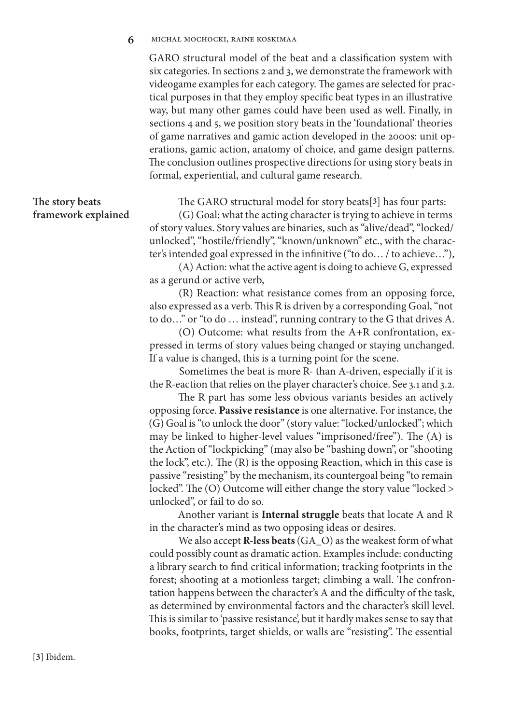#### **6** michał mochocki, raine koskimaa

GARO structural model of the beat and a classification system with six categories. In sections 2 and 3, we demonstrate the framework with videogame examples for each category. The games are selected for practical purposes in that they employ specific beat types in an illustrative way, but many other games could have been used as well. Finally, in sections 4 and 5, we position story beats in the 'foundational' theories of game narratives and gamic action developed in the 2000s: unit operations, gamic action, anatomy of choice, and game design patterns. The conclusion outlines prospective directions for using story beats in formal, experiential, and cultural game research.

# **The story beats framework explained**

The GARO structural model for story beats[**3**] has four parts:

(G) Goal: what the acting character is trying to achieve in terms of story values. Story values are binaries, such as "alive/dead", "locked/ unlocked", "hostile/friendly", "known/unknown" etc., with the character's intended goal expressed in the infinitive ("to do… / to achieve…"),

(A) Action: what the active agent is doing to achieve G, expressed as a gerund or active verb,

(R) Reaction: what resistance comes from an opposing force, also expressed as a verb. This R is driven by a corresponding Goal, "not to do…" or "to do … instead", running contrary to the G that drives A.

(O) Outcome: what results from the A+R confrontation, expressed in terms of story values being changed or staying unchanged. If a value is changed, this is a turning point for the scene.

Sometimes the beat is more R- than A-driven, especially if it is the R-eaction that relies on the player character's choice. See 3.1 and 3.2.

The R part has some less obvious variants besides an actively opposing force. **Passive resistance** is one alternative. For instance, the (G) Goal is "to unlock the door" (story value: "locked/unlocked"; which may be linked to higher-level values "imprisoned/free"). The (A) is the Action of "lockpicking" (may also be "bashing down", or "shooting the lock", etc.). The (R) is the opposing Reaction, which in this case is passive "resisting" by the mechanism, its countergoal being "to remain locked". The (O) Outcome will either change the story value "locked > unlocked", or fail to do so.

Another variant is **Internal struggle** beats that locate A and R in the character's mind as two opposing ideas or desires.

We also accept **R-less beats** (GA\_O) as the weakest form of what could possibly count as dramatic action. Examples include: conducting a library search to find critical information; tracking footprints in the forest; shooting at a motionless target; climbing a wall. The confrontation happens between the character's A and the difficulty of the task, as determined by environmental factors and the character's skill level. This is similar to 'passive resistance', but it hardly makes sense to say that books, footprints, target shields, or walls are "resisting". The essential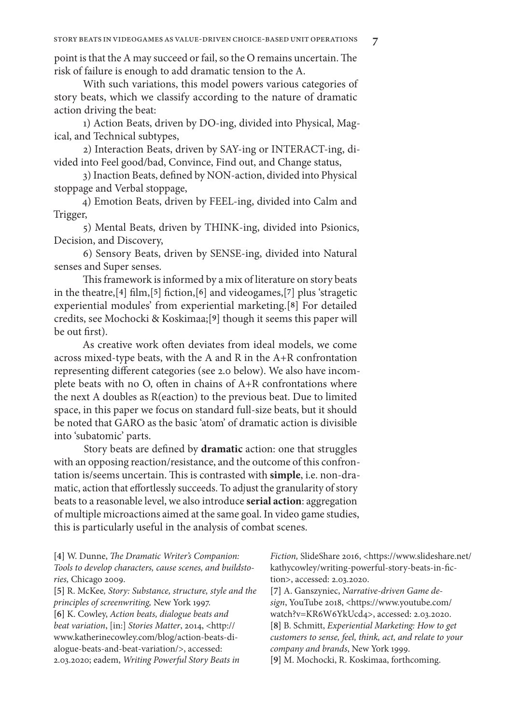point is that the A may succeed or fail, so the O remains uncertain. The risk of failure is enough to add dramatic tension to the A.

With such variations, this model powers various categories of story beats, which we classify according to the nature of dramatic action driving the beat:

1) Action Beats, driven by DO-ing, divided into Physical, Magical, and Technical subtypes,

2) Interaction Beats, driven by SAY-ing or INTERACT-ing, divided into Feel good/bad, Convince, Find out, and Change status,

3) Inaction Beats, defined by NON-action, divided into Physical stoppage and Verbal stoppage,

4) Emotion Beats, driven by FEEL-ing, divided into Calm and Trigger,

5) Mental Beats, driven by THINK-ing, divided into Psionics, Decision, and Discovery,

6) Sensory Beats, driven by SENSE-ing, divided into Natural senses and Super senses.

This framework is informed by a mix of literature on story beats in the theatre,[**4**] film,[**5**] fiction,[**6**] and videogames,[**7**] plus 'stragetic experiential modules' from experiential marketing.[**8**] For detailed credits, see Mochocki & Koskimaa;[**9**] though it seems this paper will be out first).

As creative work often deviates from ideal models, we come across mixed-type beats, with the A and R in the A+R confrontation representing different categories (see 2.0 below). We also have incomplete beats with no O, often in chains of A+R confrontations where the next A doubles as R(eaction) to the previous beat. Due to limited space, in this paper we focus on standard full-size beats, but it should be noted that GARO as the basic 'atom' of dramatic action is divisible into 'subatomic' parts.

Story beats are defined by **dramatic** action: one that struggles with an opposing reaction/resistance, and the outcome of this confrontation is/seems uncertain. This is contrasted with **simple**, i.e. non-dramatic, action that effortlessly succeeds. To adjust the granularity of story beats to a reasonable level, we also introduce **serial action**: aggregation of multiple microactions aimed at the same goal. In video game studies, this is particularly useful in the analysis of combat scenes.

**[4]** W. Dunne, *The Dramatic Writer's Companion: Tools to develop characters, cause scenes, and buildstories,* Chicago 2009.

**[5]** R. McKee*, Story: Substance, structure, style and the principles of screenwriting,* New York 1997. **[6]** K. Cowley, *Action beats, dialogue beats and beat variation*, [in:] *Stories Matter*, 2014, <http:// www.katherinecowley.com/blog/action-beats-dialogue-beats-and-beat-variation/>, accessed: 2.03.2020; eadem, *Writing Powerful Story Beats in* 

*Fiction,* SlideShare 2016, <https://www.slideshare.net/ kathycowley/writing-powerful-story-beats-in-fiction>, accessed: 2.03.2020.

**[7]** A. Ganszyniec, *Narrative-driven Game design*, YouTube 2018, <https://www.youtube.com/ watch?v=KR6W6YkUcd4>, accessed: 2.03.2020. **[8]** B. Schmitt, *Experiential Marketing: How to get customers to sense, feel, think, act, and relate to your company and brands*, New York 1999.

**[9]** M. Mochocki, R. Koskimaa, forthcoming.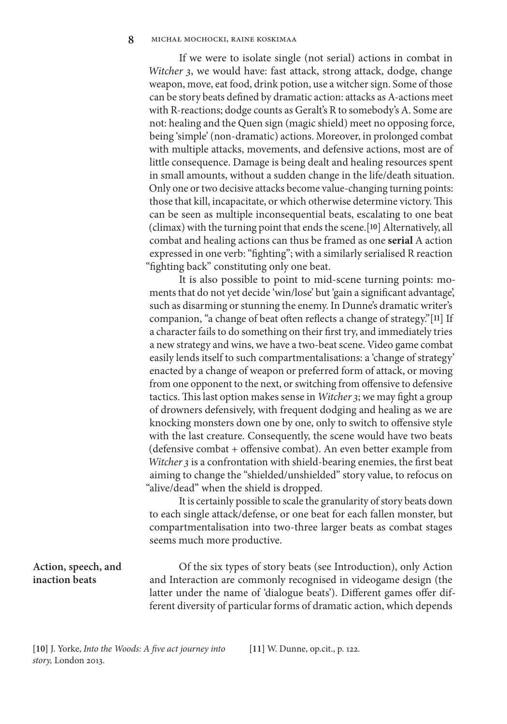If we were to isolate single (not serial) actions in combat in *Witcher 3*, we would have: fast attack, strong attack, dodge, change weapon, move, eat food, drink potion, use a witcher sign. Some of those can be story beats defined by dramatic action: attacks as A-actions meet with R-reactions; dodge counts as Geralt's R to somebody's A. Some are not: healing and the Quen sign (magic shield) meet no opposing force, being 'simple' (non-dramatic) actions. Moreover, in prolonged combat with multiple attacks, movements, and defensive actions, most are of little consequence. Damage is being dealt and healing resources spent in small amounts, without a sudden change in the life/death situation. Only one or two decisive attacks become value-changing turning points: those that kill, incapacitate, or which otherwise determine victory. This can be seen as multiple inconsequential beats, escalating to one beat (climax) with the turning point that ends the scene.[**10**] Alternatively, all combat and healing actions can thus be framed as one **serial** A action expressed in one verb: "fighting"; with a similarly serialised R reaction "fighting back" constituting only one beat.

It is also possible to point to mid-scene turning points: moments that do not yet decide 'win/lose' but 'gain a significant advantage', such as disarming or stunning the enemy. In Dunne's dramatic writer's companion, "a change of beat often reflects a change of strategy."[**11**] If a character fails to do something on their first try, and immediately tries a new strategy and wins, we have a two-beat scene. Video game combat easily lends itself to such compartmentalisations: a 'change of strategy' enacted by a change of weapon or preferred form of attack, or moving from one opponent to the next, or switching from offensive to defensive tactics. This last option makes sense in *Witcher 3*; we may fight a group of drowners defensively, with frequent dodging and healing as we are knocking monsters down one by one, only to switch to offensive style with the last creature. Consequently, the scene would have two beats (defensive combat + offensive combat). An even better example from *Witcher 3* is a confrontation with shield-bearing enemies, the first beat aiming to change the "shielded/unshielded" story value, to refocus on "alive/dead" when the shield is dropped.

It is certainly possible to scale the granularity of story beats down to each single attack/defense, or one beat for each fallen monster, but compartmentalisation into two-three larger beats as combat stages seems much more productive.

# **Action, speech, and inaction beats**

Of the six types of story beats (see Introduction), only Action and Interaction are commonly recognised in videogame design (the latter under the name of 'dialogue beats'). Different games offer different diversity of particular forms of dramatic action, which depends

**[10]** J. Yorke, *Into the Woods: A five act journey into story,* London 2013.

**[11]** W. Dunne, op.cit., p. 122.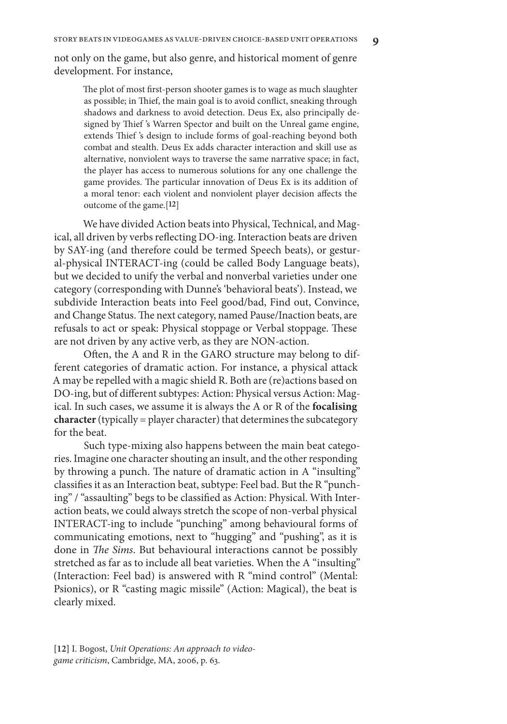not only on the game, but also genre, and historical moment of genre development. For instance,

The plot of most first-person shooter games is to wage as much slaughter as possible; in Thief, the main goal is to avoid conflict, sneaking through shadows and darkness to avoid detection. Deus Ex, also principally designed by Thief 's Warren Spector and built on the Unreal game engine, extends Thief 's design to include forms of goal-reaching beyond both combat and stealth. Deus Ex adds character interaction and skill use as alternative, nonviolent ways to traverse the same narrative space; in fact, the player has access to numerous solutions for any one challenge the game provides. The particular innovation of Deus Ex is its addition of a moral tenor: each violent and nonviolent player decision affects the outcome of the game.[**12**]

We have divided Action beats into Physical, Technical, and Magical, all driven by verbs reflecting DO-ing. Interaction beats are driven by SAY-ing (and therefore could be termed Speech beats), or gestural-physical INTERACT-ing (could be called Body Language beats), but we decided to unify the verbal and nonverbal varieties under one category (corresponding with Dunne's 'behavioral beats'). Instead, we subdivide Interaction beats into Feel good/bad, Find out, Convince, and Change Status. The next category, named Pause/Inaction beats, are refusals to act or speak: Physical stoppage or Verbal stoppage. These are not driven by any active verb, as they are NON-action.

Often, the A and R in the GARO structure may belong to different categories of dramatic action. For instance, a physical attack A may be repelled with a magic shield R. Both are (re)actions based on DO-ing, but of different subtypes: Action: Physical versus Action: Magical. In such cases, we assume it is always the A or R of the **focalising**  character (typically = player character) that determines the subcategory for the beat.

Such type-mixing also happens between the main beat categories. Imagine one character shouting an insult, and the other responding by throwing a punch. The nature of dramatic action in A "insulting" classifies it as an Interaction beat, subtype: Feel bad. But the R "punching" / "assaulting" begs to be classified as Action: Physical. With Interaction beats, we could always stretch the scope of non-verbal physical INTERACT-ing to include "punching" among behavioural forms of communicating emotions, next to "hugging" and "pushing", as it is done in *The Sims*. But behavioural interactions cannot be possibly stretched as far as to include all beat varieties. When the A "insulting" (Interaction: Feel bad) is answered with R "mind control" (Mental: Psionics), or R "casting magic missile" (Action: Magical), the beat is clearly mixed.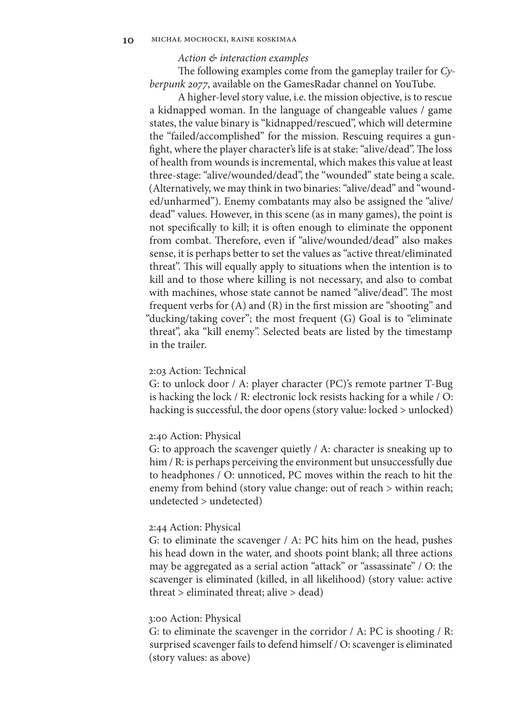## *Action & interaction examples*

The following examples come from the gameplay trailer for *Cyberpunk 2077*, available on the GamesRadar channel on YouTube.

A higher-level story value, i.e. the mission objective, is to rescue a kidnapped woman. In the language of changeable values / game states, the value binary is "kidnapped/rescued", which will determine the "failed/accomplished" for the mission. Rescuing requires a gunfight, where the player character's life is at stake: "alive/dead". The loss of health from wounds is incremental, which makes this value at least three-stage: "alive/wounded/dead", the "wounded" state being a scale. (Alternatively, we may think in two binaries: "alive/dead" and "wounded/unharmed"). Enemy combatants may also be assigned the "alive/ dead" values. However, in this scene (as in many games), the point is not specifically to kill; it is often enough to eliminate the opponent from combat. Therefore, even if "alive/wounded/dead" also makes sense, it is perhaps better to set the values as "active threat/eliminated threat". This will equally apply to situations when the intention is to kill and to those where killing is not necessary, and also to combat with machines, whose state cannot be named "alive/dead". The most frequent verbs for (A) and (R) in the first mission are "shooting" and "ducking/taking cover"; the most frequent (G) Goal is to "eliminate threat", aka "kill enemy". Selected beats are listed by the timestamp in the trailer.

#### 2:03 Action: Technical

G: to unlock door / A: player character (PC)'s remote partner T-Bug is hacking the lock / R: electronic lock resists hacking for a while / O: hacking is successful, the door opens (story value: locked > unlocked)

## 2:40 Action: Physical

G: to approach the scavenger quietly / A: character is sneaking up to him / R: is perhaps perceiving the environment but unsuccessfully due to headphones / O: unnoticed, PC moves within the reach to hit the enemy from behind (story value change: out of reach > within reach; undetected > undetected)

#### 2:44 Action: Physical

G: to eliminate the scavenger / A: PC hits him on the head, pushes his head down in the water, and shoots point blank; all three actions may be aggregated as a serial action "attack" or "assassinate" / O: the scavenger is eliminated (killed, in all likelihood) (story value: active threat > eliminated threat; alive > dead)

## 3:00 Action: Physical

G: to eliminate the scavenger in the corridor / A: PC is shooting / R: surprised scavenger fails to defend himself / O: scavenger is eliminated (story values: as above)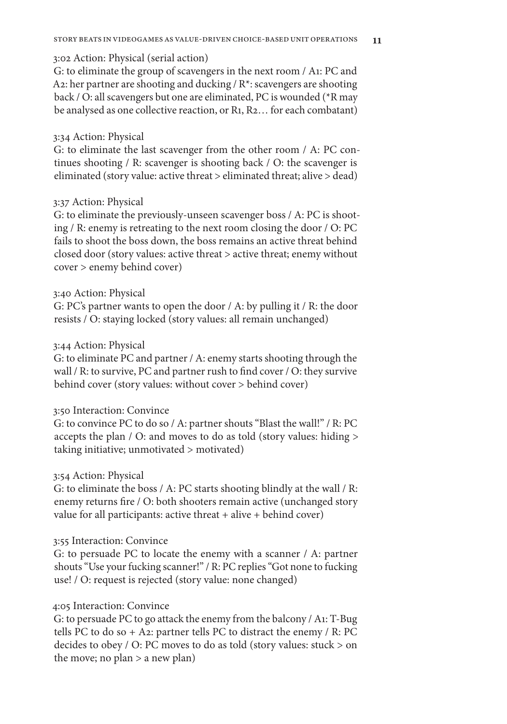3:02 Action: Physical (serial action)

G: to eliminate the group of scavengers in the next room / A1: PC and A2: her partner are shooting and ducking / R\*: scavengers are shooting back / O: all scavengers but one are eliminated, PC is wounded (\*R may be analysed as one collective reaction, or R1, R2… for each combatant)

# 3:34 Action: Physical

G: to eliminate the last scavenger from the other room / A: PC continues shooting / R: scavenger is shooting back / O: the scavenger is eliminated (story value: active threat > eliminated threat; alive > dead)

# 3:37 Action: Physical

G: to eliminate the previously-unseen scavenger boss / A: PC is shooting / R: enemy is retreating to the next room closing the door / O: PC fails to shoot the boss down, the boss remains an active threat behind closed door (story values: active threat > active threat; enemy without cover > enemy behind cover)

# 3:40 Action: Physical

G: PC's partner wants to open the door / A: by pulling it / R: the door resists / O: staying locked (story values: all remain unchanged)

## 3:44 Action: Physical

G: to eliminate PC and partner / A: enemy starts shooting through the wall / R: to survive, PC and partner rush to find cover / O: they survive behind cover (story values: without cover > behind cover)

# 3:50 Interaction: Convince

G: to convince PC to do so / A: partner shouts "Blast the wall!" / R: PC accepts the plan / O: and moves to do as told (story values: hiding > taking initiative; unmotivated > motivated)

## 3:54 Action: Physical

G: to eliminate the boss / A: PC starts shooting blindly at the wall / R: enemy returns fire / O: both shooters remain active (unchanged story value for all participants: active threat  $+$  alive  $+$  behind cover)

# 3:55 Interaction: Convince

G: to persuade PC to locate the enemy with a scanner / A: partner shouts "Use your fucking scanner!" / R: PC replies "Got none to fucking use! / O: request is rejected (story value: none changed)

# 4:05 Interaction: Convince

G: to persuade PC to go attack the enemy from the balcony / A1: T-Bug tells PC to do so  $+$  A2: partner tells PC to distract the enemy / R: PC decides to obey / O: PC moves to do as told (story values: stuck > on the move; no plan > a new plan)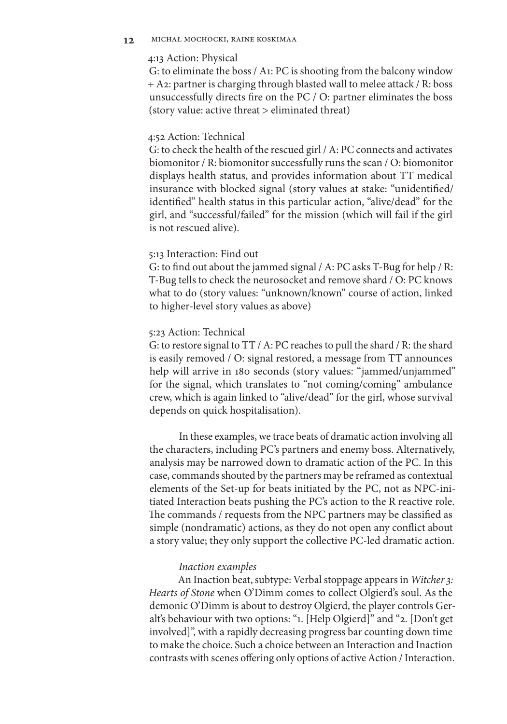## 4:13 Action: Physical

G: to eliminate the boss / A1: PC is shooting from the balcony window + A2: partner is charging through blasted wall to melee attack / R: boss unsuccessfully directs fire on the PC / O: partner eliminates the boss (story value: active threat > eliminated threat)

#### 4:52 Action: Technical

G: to check the health of the rescued girl / A: PC connects and activates biomonitor / R: biomonitor successfully runs the scan / O: biomonitor displays health status, and provides information about TT medical insurance with blocked signal (story values at stake: "unidentified/ identified" health status in this particular action, "alive/dead" for the girl, and "successful/failed" for the mission (which will fail if the girl is not rescued alive).

## 5:13 Interaction: Find out

G: to find out about the jammed signal / A: PC asks T-Bug for help / R: T-Bug tells to check the neurosocket and remove shard / O: PC knows what to do (story values: "unknown/known" course of action, linked to higher-level story values as above)

#### 5:23 Action: Technical

G: to restore signal to TT / A: PC reaches to pull the shard / R: the shard is easily removed / O: signal restored, a message from TT announces help will arrive in 180 seconds (story values: "jammed/unjammed" for the signal, which translates to "not coming/coming" ambulance crew, which is again linked to "alive/dead" for the girl, whose survival depends on quick hospitalisation).

In these examples, we trace beats of dramatic action involving all the characters, including PC's partners and enemy boss. Alternatively, analysis may be narrowed down to dramatic action of the PC. In this case, commands shouted by the partners may be reframed as contextual elements of the Set-up for beats initiated by the PC, not as NPC-initiated Interaction beats pushing the PC's action to the R reactive role. The commands / requests from the NPC partners may be classified as simple (nondramatic) actions, as they do not open any conflict about a story value; they only support the collective PC-led dramatic action.

#### *Inaction examples*

An Inaction beat, subtype: Verbal stoppage appears in *Witcher 3: Hearts of Stone* when O'Dimm comes to collect Olgierd's soul. As the demonic O'Dimm is about to destroy Olgierd, the player controls Geralt's behaviour with two options: "1. [Help Olgierd]" and "2. [Don't get involved]", with a rapidly decreasing progress bar counting down time to make the choice. Such a choice between an Interaction and Inaction contrasts with scenes offering only options of active Action / Interaction.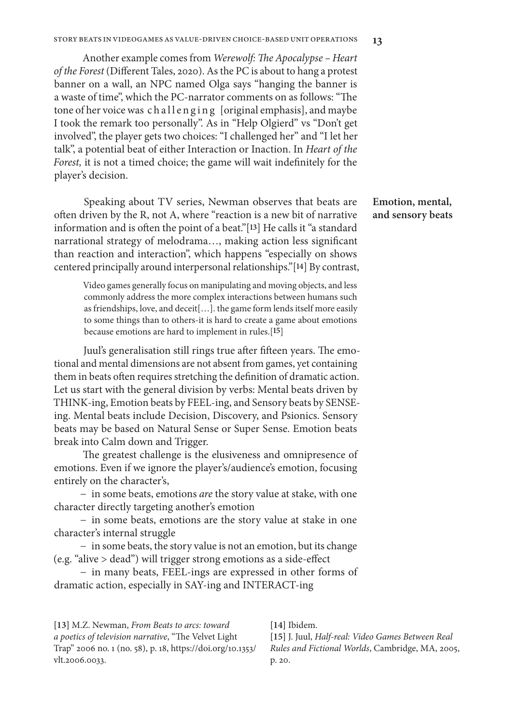Another example comes from *Werewolf: The Apocalypse – Heart of the Forest* (Different Tales, 2020). As the PC is about to hang a protest banner on a wall, an NPC named Olga says "hanging the banner is a waste of time", which the PC-narrator comments on as follows: "The tone of her voice was challenging [original emphasis], and maybe I took the remark too personally". As in "Help Olgierd" vs "Don't get involved", the player gets two choices: "I challenged her" and "I let her talk", a potential beat of either Interaction or Inaction. In *Heart of the Forest,* it is not a timed choice; the game will wait indefinitely for the player's decision.

Speaking about TV series, Newman observes that beats are often driven by the R, not A, where "reaction is a new bit of narrative information and is often the point of a beat."[**13**] He calls it "a standard narrational strategy of melodrama…, making action less significant than reaction and interaction", which happens "especially on shows centered principally around interpersonal relationships."[**14**] By contrast,

Video games generally focus on manipulating and moving objects, and less commonly address the more complex interactions between humans such as friendships, love, and deceit[…]. the game form lends itself more easily to some things than to others-it is hard to create a game about emotions because emotions are hard to implement in rules.[**15**]

Juul's generalisation still rings true after fifteen years. The emotional and mental dimensions are not absent from games, yet containing them in beats often requires stretching the definition of dramatic action. Let us start with the general division by verbs: Mental beats driven by THINK-ing, Emotion beats by FEEL-ing, and Sensory beats by SENSEing. Mental beats include Decision, Discovery, and Psionics. Sensory beats may be based on Natural Sense or Super Sense. Emotion beats break into Calm down and Trigger.

The greatest challenge is the elusiveness and omnipresence of emotions. Even if we ignore the player's/audience's emotion, focusing entirely on the character's,

− in some beats, emotions *are* the story value at stake, with one character directly targeting another's emotion

− in some beats, emotions are the story value at stake in one character's internal struggle

− in some beats, the story value is not an emotion, but its change (e.g. "alive > dead") will trigger strong emotions as a side-effect

− in many beats, FEEL-ings are expressed in other forms of dramatic action, especially in SAY-ing and INTERACT-ing

**[13]** M.Z. Newman, *From Beats to arcs: toward a poetics of television narrative*, "The Velvet Light Trap" 2006 no. 1 (no. 58), p. 18, https://doi.org/10.1353/ vlt.2006.0033.

**[14]** Ibidem.

**[15]** J. Juul, *Half-real: Video Games Between Real Rules and Fictional Worlds*, Cambridge, MA, 2005, p. 20.

## **Emotion, mental, and sensory beats**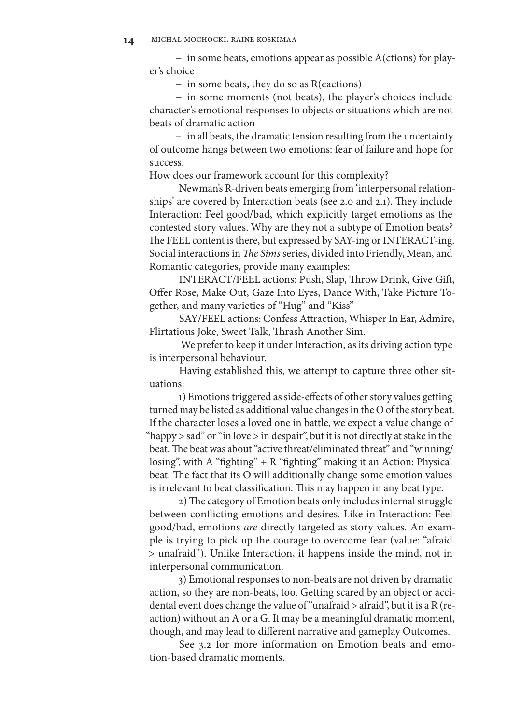− in some beats, emotions appear as possible A(ctions) for player's choice

− in some beats, they do so as R(eactions)

− in some moments (not beats), the player's choices include character's emotional responses to objects or situations which are not beats of dramatic action

− in all beats, the dramatic tension resulting from the uncertainty of outcome hangs between two emotions: fear of failure and hope for success.

How does our framework account for this complexity?

Newman's R-driven beats emerging from 'interpersonal relationships' are covered by Interaction beats (see 2.0 and 2.1). They include Interaction: Feel good/bad, which explicitly target emotions as the contested story values. Why are they not a subtype of Emotion beats? The FEEL content is there, but expressed by SAY-ing or INTERACT-ing. Social interactions in *The Sims* series, divided into Friendly, Mean, and Romantic categories, provide many examples:

INTERACT/FEEL actions: Push, Slap, Throw Drink, Give Gift, Offer Rose, Make Out, Gaze Into Eyes, Dance With, Take Picture Together, and many varieties of "Hug" and "Kiss"

SAY/FEEL actions: Confess Attraction, Whisper In Ear, Admire, Flirtatious Joke, Sweet Talk, Thrash Another Sim.

 We prefer to keep it under Interaction, as its driving action type is interpersonal behaviour.

Having established this, we attempt to capture three other situations:

1) Emotions triggered as side-effects of other story values getting turned may be listed as additional value changes in the O of the story beat. If the character loses a loved one in battle, we expect a value change of "happy > sad" or "in love > in despair", but it is not directly at stake in the beat. The beat was about "active threat/eliminated threat" and "winning/ losing", with A "fighting" + R "fighting" making it an Action: Physical beat. The fact that its O will additionally change some emotion values is irrelevant to beat classification. This may happen in any beat type.

2) The category of Emotion beats only includes internal struggle between conflicting emotions and desires. Like in Interaction: Feel good/bad, emotions *are* directly targeted as story values. An example is trying to pick up the courage to overcome fear (value: "afraid > unafraid"). Unlike Interaction, it happens inside the mind, not in interpersonal communication.

3) Emotional responses to non-beats are not driven by dramatic action, so they are non-beats, too. Getting scared by an object or accidental event does change the value of "unafraid > afraid", but it is a R (reaction) without an A or a G. It may be a meaningful dramatic moment, though, and may lead to different narrative and gameplay Outcomes.

See 3.2 for more information on Emotion beats and emotion-based dramatic moments.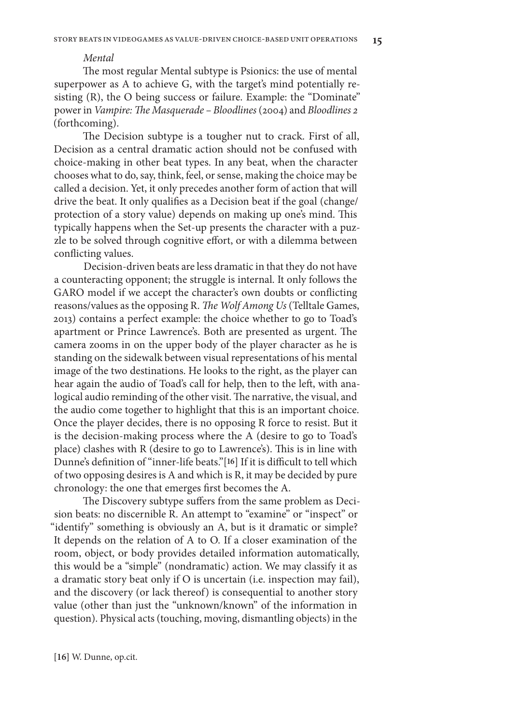#### *Mental*

The most regular Mental subtype is Psionics: the use of mental superpower as A to achieve G, with the target's mind potentially resisting (R), the O being success or failure. Example: the "Dominate" power in *Vampire: The Masquerade – Bloodlines* (2004) and *Bloodlines 2*  (forthcoming).

The Decision subtype is a tougher nut to crack. First of all, Decision as a central dramatic action should not be confused with choice-making in other beat types. In any beat, when the character chooses what to do, say, think, feel, or sense, making the choice may be called a decision. Yet, it only precedes another form of action that will drive the beat. It only qualifies as a Decision beat if the goal (change/ protection of a story value) depends on making up one's mind. This typically happens when the Set-up presents the character with a puzzle to be solved through cognitive effort, or with a dilemma between conflicting values.

Decision-driven beats are less dramatic in that they do not have a counteracting opponent; the struggle is internal. It only follows the GARO model if we accept the character's own doubts or conflicting reasons/values as the opposing R. *The Wolf Among Us* (Telltale Games, 2013) contains a perfect example: the choice whether to go to Toad's apartment or Prince Lawrence's. Both are presented as urgent. The camera zooms in on the upper body of the player character as he is standing on the sidewalk between visual representations of his mental image of the two destinations. He looks to the right, as the player can hear again the audio of Toad's call for help, then to the left, with analogical audio reminding of the other visit. The narrative, the visual, and the audio come together to highlight that this is an important choice. Once the player decides, there is no opposing R force to resist. But it is the decision-making process where the A (desire to go to Toad's place) clashes with R (desire to go to Lawrence's). This is in line with Dunne's definition of "inner-life beats."[**16**] If it is difficult to tell which of two opposing desires is A and which is R, it may be decided by pure chronology: the one that emerges first becomes the A.

The Discovery subtype suffers from the same problem as Decision beats: no discernible R. An attempt to "examine" or "inspect" or "identify" something is obviously an A, but is it dramatic or simple? It depends on the relation of A to O. If a closer examination of the room, object, or body provides detailed information automatically, this would be a "simple" (nondramatic) action. We may classify it as a dramatic story beat only if O is uncertain (i.e. inspection may fail), and the discovery (or lack thereof) is consequential to another story value (other than just the "unknown/known" of the information in question). Physical acts (touching, moving, dismantling objects) in the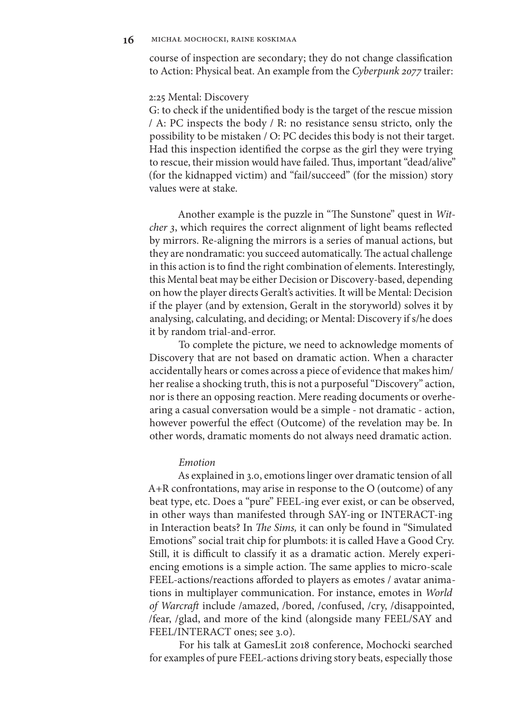**16** michał mochocki, raine koskimaa

course of inspection are secondary; they do not change classification to Action: Physical beat. An example from the *Cyberpunk 2077* trailer:

#### 2:25 Mental: Discovery

G: to check if the unidentified body is the target of the rescue mission / A: PC inspects the body / R: no resistance sensu stricto, only the possibility to be mistaken / O: PC decides this body is not their target. Had this inspection identified the corpse as the girl they were trying to rescue, their mission would have failed. Thus, important "dead/alive" (for the kidnapped victim) and "fail/succeed" (for the mission) story values were at stake.

Another example is the puzzle in "The Sunstone" quest in *Witcher 3*, which requires the correct alignment of light beams reflected by mirrors. Re-aligning the mirrors is a series of manual actions, but they are nondramatic: you succeed automatically. The actual challenge in this action is to find the right combination of elements. Interestingly, this Mental beat may be either Decision or Discovery-based, depending on how the player directs Geralt's activities. It will be Mental: Decision if the player (and by extension, Geralt in the storyworld) solves it by analysing, calculating, and deciding; or Mental: Discovery if s/he does it by random trial-and-error.

To complete the picture, we need to acknowledge moments of Discovery that are not based on dramatic action. When a character accidentally hears or comes across a piece of evidence that makes him/ her realise a shocking truth, this is not a purposeful "Discovery" action, nor is there an opposing reaction. Mere reading documents or overhearing a casual conversation would be a simple - not dramatic - action, however powerful the effect (Outcome) of the revelation may be. In other words, dramatic moments do not always need dramatic action.

#### *Emotion*

As explained in 3.0, emotions linger over dramatic tension of all A+R confrontations, may arise in response to the O (outcome) of any beat type, etc. Does a "pure" FEEL-ing ever exist, or can be observed, in other ways than manifested through SAY-ing or INTERACT-ing in Interaction beats? In *The Sims,* it can only be found in "Simulated Emotions" social trait chip for plumbots: it is called Have a Good Cry. Still, it is difficult to classify it as a dramatic action. Merely experiencing emotions is a simple action. The same applies to micro-scale FEEL-actions/reactions afforded to players as emotes / avatar animations in multiplayer communication. For instance, emotes in *World of Warcraft* include /amazed, /bored, /confused, /cry, /disappointed, /fear, /glad, and more of the kind (alongside many FEEL/SAY and FEEL/INTERACT ones; see 3.0).

For his talk at GamesLit 2018 conference, Mochocki searched for examples of pure FEEL-actions driving story beats, especially those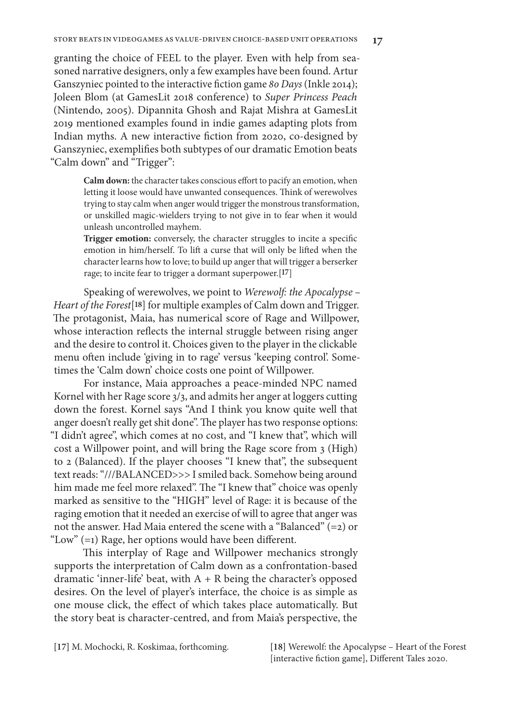granting the choice of FEEL to the player. Even with help from seasoned narrative designers, only a few examples have been found. Artur Ganszyniec pointed to the interactive fiction game *80 Days* (Inkle 2014); Joleen Blom (at GamesLit 2018 conference) to *Super Princess Peach*  (Nintendo, 2005). Dipannita Ghosh and Rajat Mishra at GamesLit 2019 mentioned examples found in indie games adapting plots from Indian myths. A new interactive fiction from 2020, co-designed by Ganszyniec, exemplifies both subtypes of our dramatic Emotion beats "Calm down" and "Trigger":

> **Calm down:** the character takes conscious effort to pacify an emotion, when letting it loose would have unwanted consequences. Think of werewolves trying to stay calm when anger would trigger the monstrous transformation, or unskilled magic-wielders trying to not give in to fear when it would unleash uncontrolled mayhem.

> **Trigger emotion:** conversely, the character struggles to incite a specific emotion in him/herself. To lift a curse that will only be lifted when the character learns how to love; to build up anger that will trigger a berserker rage; to incite fear to trigger a dormant superpower.[**17**]

Speaking of werewolves, we point to *Werewolf: the Apocalypse – Heart of the Forest*[**18**] for multiple examples of Calm down and Trigger. The protagonist, Maia, has numerical score of Rage and Willpower, whose interaction reflects the internal struggle between rising anger and the desire to control it. Choices given to the player in the clickable menu often include 'giving in to rage' versus 'keeping control'. Sometimes the 'Calm down' choice costs one point of Willpower.

For instance, Maia approaches a peace-minded NPC named Kornel with her Rage score 3/3, and admits her anger at loggers cutting down the forest. Kornel says "And I think you know quite well that anger doesn't really get shit done". The player has two response options: "I didn't agree", which comes at no cost, and "I knew that", which will cost a Willpower point, and will bring the Rage score from 3 (High) to 2 (Balanced). If the player chooses "I knew that", the subsequent text reads: "///BALANCED>>> I smiled back. Somehow being around him made me feel more relaxed". The "I knew that" choice was openly marked as sensitive to the "HIGH" level of Rage: it is because of the raging emotion that it needed an exercise of will to agree that anger was not the answer. Had Maia entered the scene with a "Balanced" (=2) or "Low" (=1) Rage, her options would have been different.

This interplay of Rage and Willpower mechanics strongly supports the interpretation of Calm down as a confrontation-based dramatic 'inner-life' beat, with  $A + R$  being the character's opposed desires. On the level of player's interface, the choice is as simple as one mouse click, the effect of which takes place automatically. But the story beat is character-centred, and from Maia's perspective, the

**[17]** M. Mochocki, R. Koskimaa, forthcoming. **[18]** Werewolf: the Apocalypse – Heart of the Forest [interactive fiction game], Different Tales 2020.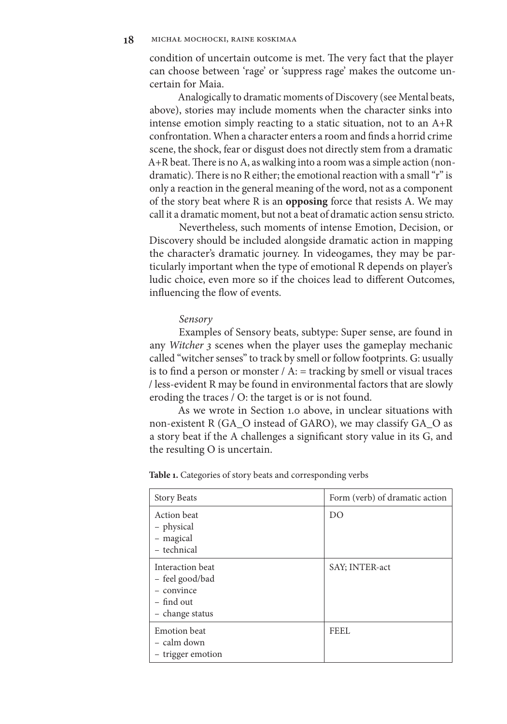condition of uncertain outcome is met. The very fact that the player can choose between 'rage' or 'suppress rage' makes the outcome uncertain for Maia.

Analogically to dramatic moments of Discovery (see Mental beats, above), stories may include moments when the character sinks into intense emotion simply reacting to a static situation, not to an A+R confrontation. When a character enters a room and finds a horrid crime scene, the shock, fear or disgust does not directly stem from a dramatic A+R beat. There is no A, as walking into a room was a simple action (nondramatic). There is no R either; the emotional reaction with a small "r" is only a reaction in the general meaning of the word, not as a component of the story beat where R is an **opposing** force that resists A. We may call it a dramatic moment, but not a beat of dramatic action sensu stricto.

Nevertheless, such moments of intense Emotion, Decision, or Discovery should be included alongside dramatic action in mapping the character's dramatic journey. In videogames, they may be particularly important when the type of emotional R depends on player's ludic choice, even more so if the choices lead to different Outcomes, influencing the flow of events.

#### *Sensory*

Examples of Sensory beats, subtype: Super sense, are found in any *Witcher 3* scenes when the player uses the gameplay mechanic called "witcher senses" to track by smell or follow footprints. G: usually is to find a person or monster  $/$  A:  $=$  tracking by smell or visual traces / less-evident R may be found in environmental factors that are slowly eroding the traces / O: the target is or is not found.

As we wrote in Section 1.0 above, in unclear situations with non-existent R (GA\_O instead of GARO), we may classify GA\_O as a story beat if the A challenges a significant story value in its G, and the resulting O is uncertain.

| <b>Story Beats</b>                                                                   | Form (verb) of dramatic action |
|--------------------------------------------------------------------------------------|--------------------------------|
| Action beat<br>- physical<br>- magical<br>- technical                                | DO                             |
| Interaction beat<br>- feel good/bad<br>- convince<br>$-$ find out<br>- change status | SAY; INTER-act                 |
| <b>Emotion</b> beat<br>- calm down<br>- trigger emotion                              | FEEL                           |

Table 1. Categories of story beats and corresponding verbs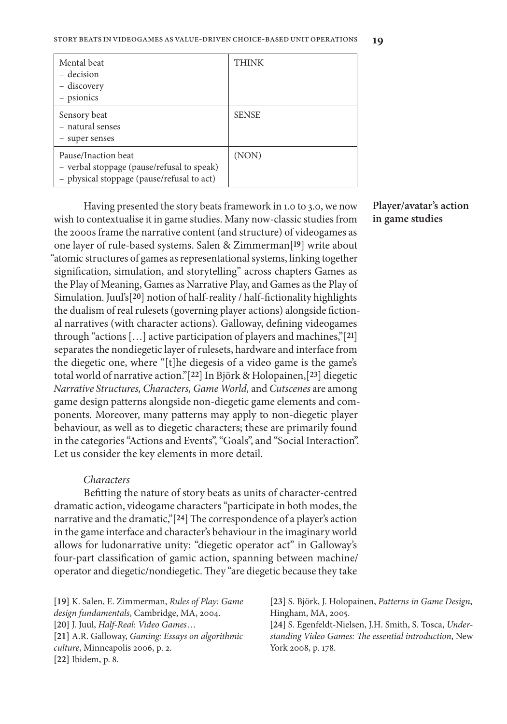| Mental beat<br>- decision<br>– discovery<br>- psionics                                                          | <b>THINK</b> |
|-----------------------------------------------------------------------------------------------------------------|--------------|
| Sensory beat<br>- natural senses<br>- super senses                                                              | <b>SENSE</b> |
| Pause/Inaction beat<br>- verbal stoppage (pause/refusal to speak)<br>- physical stoppage (pause/refusal to act) | (NON)        |

Having presented the story beats framework in 1.0 to 3.0, we now wish to contextualise it in game studies. Many now-classic studies from the 2000s frame the narrative content (and structure) of videogames as one layer of rule-based systems. Salen & Zimmerman[**19**] write about "atomic structures of games as representational systems, linking together signification, simulation, and storytelling" across chapters Games as the Play of Meaning, Games as Narrative Play, and Games as the Play of Simulation. Juul's[**20**] notion of half-reality / half-fictionality highlights the dualism of real rulesets (governing player actions) alongside fictional narratives (with character actions). Galloway, defining videogames through "actions […] active participation of players and machines,"[**21**] separates the nondiegetic layer of rulesets, hardware and interface from the diegetic one, where "[t]he diegesis of a video game is the game's total world of narrative action."[**22**] In Björk & Holopainen,[**23**] diegetic *Narrative Structures, Characters, Game World,* and *Cutscenes* are among game design patterns alongside non-diegetic game elements and components. Moreover, many patterns may apply to non-diegetic player behaviour, as well as to diegetic characters; these are primarily found in the categories "Actions and Events", "Goals", and "Social Interaction". Let us consider the key elements in more detail.

#### *Characters*

Befitting the nature of story beats as units of character-centred dramatic action, videogame characters "participate in both modes, the narrative and the dramatic,"[**24**] The correspondence of a player's action in the game interface and character's behaviour in the imaginary world allows for ludonarrative unity: "diegetic operator act" in Galloway's four-part classification of gamic action, spanning between machine/ operator and diegetic/nondiegetic. They "are diegetic because they take

**[19]** K. Salen, E. Zimmerman, *Rules of Play: Game design fundamentals*, Cambridge, MA, 2004. **[20]** J. Juul, *Half-Real*: *Video Games*… **[21]** A.R. Galloway, *Gaming: Essays on algorithmic culture*, Minneapolis 2006, p. 2. **[22]** Ibidem, p. 8.

**[23]** S. Björk, J. Holopainen, *Patterns in Game Design*, Hingham, MA, 2005. **[24]** S. Egenfeldt-Nielsen, J.H. Smith, S. Tosca, *Understanding Video Games: The essential introduction*, New York 2008, p. 178.

## **Player/avatar's action in game studies**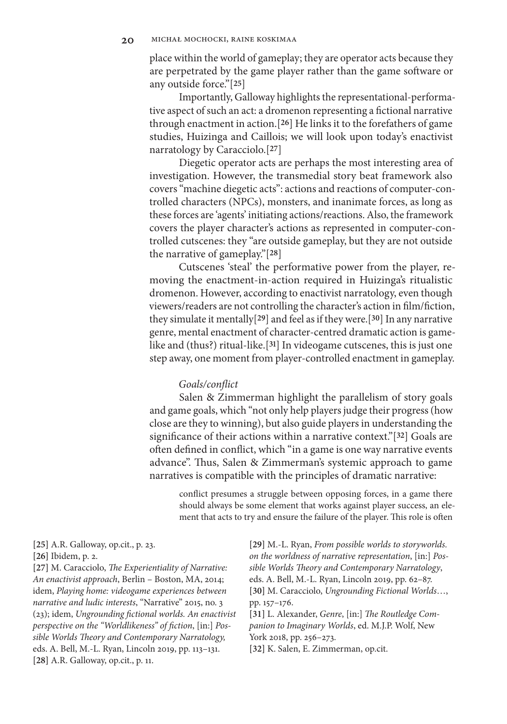place within the world of gameplay; they are operator acts because they are perpetrated by the game player rather than the game software or any outside force."[**25**]

Importantly, Galloway highlights the representational-performative aspect of such an act: a dromenon representing a fictional narrative through enactment in action.[**26**] He links it to the forefathers of game studies, Huizinga and Caillois; we will look upon today's enactivist narratology by Caracciolo.[**27**]

Diegetic operator acts are perhaps the most interesting area of investigation. However, the transmedial story beat framework also covers "machine diegetic acts": actions and reactions of computer-controlled characters (NPCs), monsters, and inanimate forces, as long as these forces are 'agents' initiating actions/reactions. Also, the framework covers the player character's actions as represented in computer-controlled cutscenes: they "are outside gameplay, but they are not outside the narrative of gameplay."[**28**]

Cutscenes 'steal' the performative power from the player, removing the enactment-in-action required in Huizinga's ritualistic dromenon. However, according to enactivist narratology, even though viewers/readers are not controlling the character's action in film/fiction, they simulate it mentally[**29**] and feel as if they were.[**30**] In any narrative genre, mental enactment of character-centred dramatic action is gamelike and (thus?) ritual-like.[**31**] In videogame cutscenes, this is just one step away, one moment from player-controlled enactment in gameplay.

#### *Goals/conflict*

Salen & Zimmerman highlight the parallelism of story goals and game goals, which "not only help players judge their progress (how close are they to winning), but also guide players in understanding the significance of their actions within a narrative context."[**32**] Goals are often defined in conflict, which "in a game is one way narrative events advance". Thus, Salen & Zimmerman's systemic approach to game narratives is compatible with the principles of dramatic narrative:

conflict presumes a struggle between opposing forces, in a game there should always be some element that works against player success, an element that acts to try and ensure the failure of the player. This role is often

**[25]** A.R. Galloway, op.cit., p. 23.

**[26]** Ibidem, p. 2.

**[27]** M. Caracciolo, *The Experientiality of Narrative: An enactivist approach*, Berlin – Boston, MA, 2014; idem, *Playing home: videogame experiences between narrative and ludic interests*, "Narrative" 2015, no. 3 (23); idem, *Ungrounding fictional worlds. An enactivist perspective on the "Worldlikeness" of fiction*, [in:] *Possible Worlds Theory and Contemporary Narratology,*  eds. A. Bell, M.-L. Ryan, Lincoln 2019, pp. 113–131. **[28]** A.R. Galloway, op.cit., p. 11.

**[29]** M.-L. Ryan, *From possible worlds to storyworlds. on the worldness of narrative representation*, [in:] *Possible Worlds Theory and Contemporary Narratology*, eds. A. Bell, M.-L. Ryan, Lincoln 2019, pp. 62–87. **[30]** M. Caracciolo, *Ungrounding Fictional Worlds*…, pp. 157–176. **[31]** L. Alexander, *Genre*, [in:] *The Routledge Com-*

*panion to Imaginary Worlds*, ed. M.J.P. Wolf, New York 2018, pp. 256–273.

**[32]** K. Salen, E. Zimmerman, op.cit.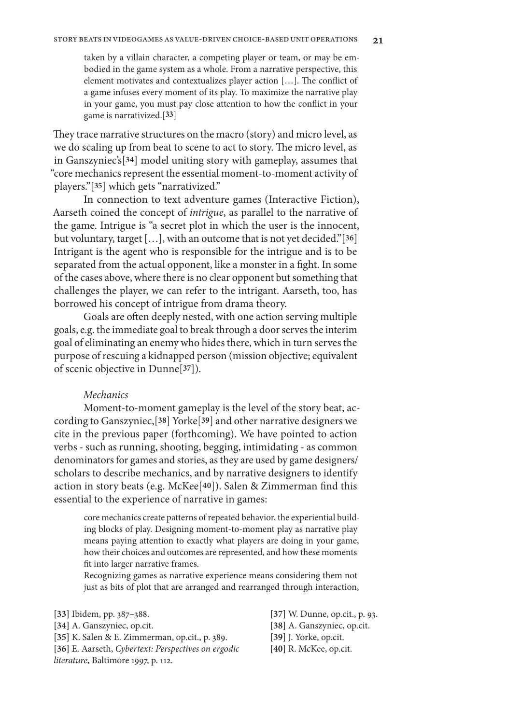taken by a villain character, a competing player or team, or may be embodied in the game system as a whole. From a narrative perspective, this element motivates and contextualizes player action […]. The conflict of a game infuses every moment of its play. To maximize the narrative play in your game, you must pay close attention to how the conflict in your game is narrativized.[**33**]

They trace narrative structures on the macro (story) and micro level, as we do scaling up from beat to scene to act to story. The micro level, as in Ganszyniec's[**34**] model uniting story with gameplay, assumes that "core mechanics represent the essential moment-to-moment activity of players."[**35**] which gets "narrativized."

In connection to text adventure games (Interactive Fiction), Aarseth coined the concept of *intrigue*, as parallel to the narrative of the game. Intrigue is "a secret plot in which the user is the innocent, but voluntary, target […], with an outcome that is not yet decided."[**36**] Intrigant is the agent who is responsible for the intrigue and is to be separated from the actual opponent, like a monster in a fight. In some of the cases above, where there is no clear opponent but something that challenges the player, we can refer to the intrigant. Aarseth, too, has borrowed his concept of intrigue from drama theory.

Goals are often deeply nested, with one action serving multiple goals, e.g. the immediate goal to break through a door serves the interim goal of eliminating an enemy who hides there, which in turn serves the purpose of rescuing a kidnapped person (mission objective; equivalent of scenic objective in Dunne[**37**]).

## *Mechanics*

Moment-to-moment gameplay is the level of the story beat, according to Ganszyniec,[**38**] Yorke[**39**] and other narrative designers we cite in the previous paper (forthcoming). We have pointed to action verbs - such as running, shooting, begging, intimidating - as common denominators for games and stories, as they are used by game designers/ scholars to describe mechanics, and by narrative designers to identify action in story beats (e.g. McKee[**40**]). Salen & Zimmerman find this essential to the experience of narrative in games:

core mechanics create patterns of repeated behavior, the experiential building blocks of play. Designing moment-to-moment play as narrative play means paying attention to exactly what players are doing in your game, how their choices and outcomes are represented, and how these moments fit into larger narrative frames.

Recognizing games as narrative experience means considering them not just as bits of plot that are arranged and rearranged through interaction,

- **[33]** Ibidem, pp. 387–388.
- **[34]** A. Ganszyniec, op.cit.
- **[35]** K. Salen & E. Zimmerman, op.cit., p. 389.

**[36]** E. Aarseth, *Cybertext: Perspectives on ergodic literature*, Baltimore 1997, p. 112.

- **[37]** W. Dunne, op.cit., p. 93.
- **[38]** A. Ganszyniec, op.cit.
- **[39]** J. Yorke, op.cit.
- **[40]** R. McKee, op.cit.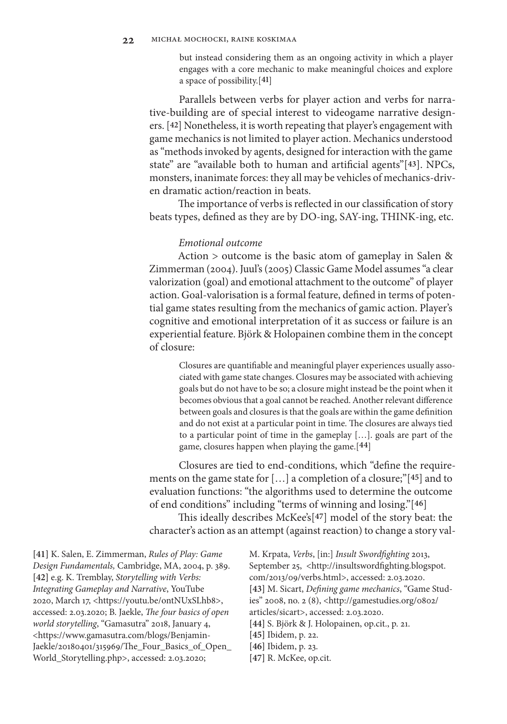but instead considering them as an ongoing activity in which a player engages with a core mechanic to make meaningful choices and explore a space of possibility.[**41**]

Parallels between verbs for player action and verbs for narrative-building are of special interest to videogame narrative designers. [**42**] Nonetheless, it is worth repeating that player's engagement with game mechanics is not limited to player action. Mechanics understood as "methods invoked by agents, designed for interaction with the game state" are "available both to human and artificial agents"[**43**]. NPCs, monsters, inanimate forces: they all may be vehicles of mechanics-driven dramatic action/reaction in beats.

The importance of verbs is reflected in our classification of story beats types, defined as they are by DO-ing, SAY-ing, THINK-ing, etc.

#### *Emotional outcome*

Action > outcome is the basic atom of gameplay in Salen & Zimmerman (2004). Juul's (2005) Classic Game Model assumes "a clear valorization (goal) and emotional attachment to the outcome" of player action. Goal-valorisation is a formal feature, defined in terms of potential game states resulting from the mechanics of gamic action. Player's cognitive and emotional interpretation of it as success or failure is an experiential feature. Björk & Holopainen combine them in the concept of closure:

Closures are quantifiable and meaningful player experiences usually associated with game state changes. Closures may be associated with achieving goals but do not have to be so; a closure might instead be the point when it becomes obvious that a goal cannot be reached. Another relevant difference between goals and closures is that the goals are within the game definition and do not exist at a particular point in time. The closures are always tied to a particular point of time in the gameplay […]. goals are part of the game, closures happen when playing the game.[**44**]

Closures are tied to end-conditions, which "define the requirements on the game state for […] a completion of a closure;"[**45**] and to evaluation functions: "the algorithms used to determine the outcome of end conditions" including "terms of winning and losing."[**46**]

This ideally describes McKee's[**47**] model of the story beat: the character's action as an attempt (against reaction) to change a story val-

**[41]** K. Salen, E. Zimmerman, *Rules of Play: Game Design Fundamentals,* Cambridge, MA, 2004, p. 389. **[42]** e.g. K. Tremblay, *Storytelling with Verbs: Integrating Gameplay and Narrative*, YouTube 2020, March 17, <https://youtu.be/ontNUxSLhb8>, accessed: 2.03.2020; B. Jaekle, *The four basics of open world storytelling*, "Gamasutra" 2018, January 4, <https://www.gamasutra.com/blogs/Benjamin-Jaekle/20180401/315969/The\_Four\_Basics\_of\_Open\_ World\_Storytelling.php>, accessed: 2.03.2020;

M. Krpata, *Verbs*, [in:] *Insult Swordfighting* 2013, September 25, <http://insultswordfighting.blogspot. com/2013/09/verbs.html>, accessed: 2.03.2020. **[43]** M. Sicart, *Defining game mechanics*, "Game Studies" 2008, no. 2 (8), <http://gamestudies.org/0802/ articles/sicart>, accessed: 2.03.2020. **[44]** S. Björk & J. Holopainen, op.cit., p. 21. **[45]** Ibidem, p. 22.

- **[46]** Ibidem, p. 23.
- **[47]** R. McKee, op.cit.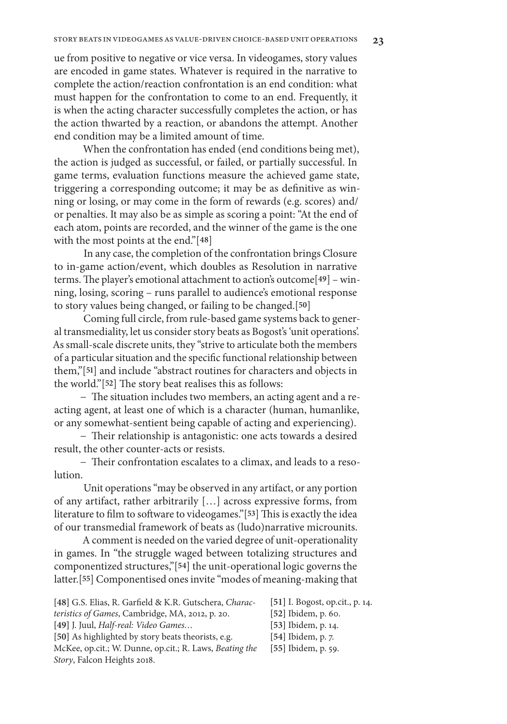# ue from positive to negative or vice versa. In videogames, story values are encoded in game states. Whatever is required in the narrative to complete the action/reaction confrontation is an end condition: what must happen for the confrontation to come to an end. Frequently, it is when the acting character successfully completes the action, or has the action thwarted by a reaction, or abandons the attempt. Another end condition may be a limited amount of time.

When the confrontation has ended (end conditions being met), the action is judged as successful, or failed, or partially successful. In game terms, evaluation functions measure the achieved game state, triggering a corresponding outcome; it may be as definitive as winning or losing, or may come in the form of rewards (e.g. scores) and/ or penalties. It may also be as simple as scoring a point: "At the end of each atom, points are recorded, and the winner of the game is the one with the most points at the end."[**48**]

In any case, the completion of the confrontation brings Closure to in-game action/event, which doubles as Resolution in narrative terms. The player's emotional attachment to action's outcome[**49**] – winning, losing, scoring – runs parallel to audience's emotional response to story values being changed, or failing to be changed.[**50**]

Coming full circle, from rule-based game systems back to general transmediality, let us consider story beats as Bogost's 'unit operations'. As small-scale discrete units, they "strive to articulate both the members of a particular situation and the specific functional relationship between them,"[**51**] and include "abstract routines for characters and objects in the world."[**52**] The story beat realises this as follows:

− The situation includes two members, an acting agent and a reacting agent, at least one of which is a character (human, humanlike, or any somewhat-sentient being capable of acting and experiencing).

− Their relationship is antagonistic: one acts towards a desired result, the other counter-acts or resists.

− Their confrontation escalates to a climax, and leads to a resolution.

Unit operations "may be observed in any artifact, or any portion of any artifact, rather arbitrarily […] across expressive forms, from literature to film to software to videogames."[**53**] This is exactly the idea of our transmedial framework of beats as (ludo)narrative microunits.

A comment is needed on the varied degree of unit-operationality in games. In "the struggle waged between totalizing structures and componentized structures,"[**54**] the unit-operational logic governs the latter.[**55**] Componentised ones invite "modes of meaning-making that

| [48] G.S. Elias, R. Garfield & K.R. Gutschera, Charac- | $[51]$ I. Bogos |
|--------------------------------------------------------|-----------------|
| <i>teristics of Games, Cambridge, MA, 2012, p. 20.</i> | [52] Ibidem,    |
| [49] J. Juul, Half-real: Video Games                   | [53] Ibidem,    |
| [50] As highlighted by story beats theorists, e.g.     | [54] Ibidem,    |

McKee, op.cit.; W. Dunne, op.cit.; R. Laws, *Beating the Story*, Falcon Heights 2018.

- **[51]** I. Bogost, op.cit., p. 14.
- p. 60.
- **[53]** Ibidem, p. 14.
- **[54]** Ibidem, p. 7.
- **[55]** Ibidem, p. 59.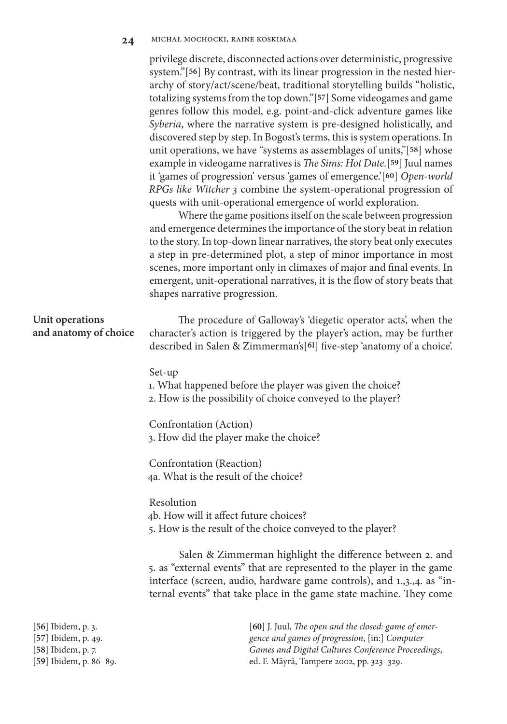#### 24 MICHAŁ MOCHOCKI, RAINE KOSKIMAA

privilege discrete, disconnected actions over deterministic, progressive system."[**56**] By contrast, with its linear progression in the nested hierarchy of story/act/scene/beat, traditional storytelling builds "holistic, totalizing systems from the top down."[**57**] Some videogames and game genres follow this model, e.g. point-and-click adventure games like *Syberia*, where the narrative system is pre-designed holistically, and discovered step by step. In Bogost's terms, this is system operations. In unit operations, we have "systems as assemblages of units,"[**58**] whose example in videogame narratives is *The Sims: Hot Date.*[**59**] Juul names it 'games of progression' versus 'games of emergence.'[**60**] *Open-world RPGs like Witcher 3* combine the system-operational progression of quests with unit-operational emergence of world exploration.

Where the game positions itself on the scale between progression and emergence determines the importance of the story beat in relation to the story. In top-down linear narratives, the story beat only executes a step in pre-determined plot, a step of minor importance in most scenes, more important only in climaxes of major and final events. In emergent, unit-operational narratives, it is the flow of story beats that shapes narrative progression.

| Unit operations<br>and anatomy of choice  | The procedure of Galloway's 'diegetic operator acts', when the<br>character's action is triggered by the player's action, may be further<br>described in Salen & Zimmerman's[61] five-step 'anatomy of a choice'.                                                                     |
|-------------------------------------------|---------------------------------------------------------------------------------------------------------------------------------------------------------------------------------------------------------------------------------------------------------------------------------------|
|                                           | Set-up<br>1. What happened before the player was given the choice?<br>2. How is the possibility of choice conveyed to the player?                                                                                                                                                     |
|                                           | Confrontation (Action)<br>3. How did the player make the choice?                                                                                                                                                                                                                      |
|                                           | Confrontation (Reaction)<br>4a. What is the result of the choice?                                                                                                                                                                                                                     |
|                                           | Resolution<br>4b. How will it affect future choices?<br>5. How is the result of the choice conveyed to the player?                                                                                                                                                                    |
|                                           | Salen & Zimmerman highlight the difference between 2. and<br>5. as "external events" that are represented to the player in the game<br>interface (screen, audio, hardware game controls), and 1.,3.,4. as "in-<br>ternal events" that take place in the game state machine. They come |
| [56] Ibidem, p. 3.<br>$E71$ Ibidam n $10$ | [60] J. Juul, The open and the closed: game of emer-<br>aguas and games of programsion [in] Computer                                                                                                                                                                                  |

**[57]** Ibidem, p. 49. **[58]** Ibidem, p. 7.

**[59]** Ibidem, p. 86–89.

*gence and games of progression*, [in:] *Computer Games and Digital Cultures Conference Proceedings*, ed. F. Mäyrä, Tampere 2002, pp. 323–329.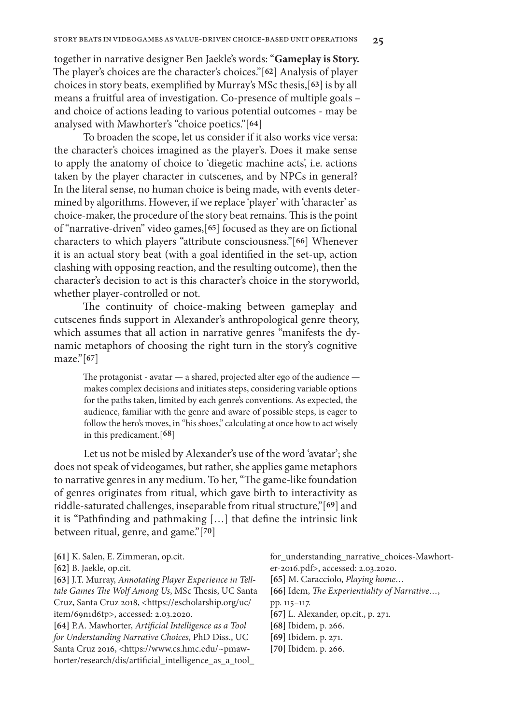together in narrative designer Ben Jaekle's words: "**Gameplay is Story.**  The player's choices are the character's choices."[**62**] Analysis of player choices in story beats, exemplified by Murray's MSc thesis,[**63**] is by all means a fruitful area of investigation. Co-presence of multiple goals – and choice of actions leading to various potential outcomes - may be analysed with Mawhorter's "choice poetics."[**64**]

To broaden the scope, let us consider if it also works vice versa: the character's choices imagined as the player's. Does it make sense to apply the anatomy of choice to 'diegetic machine acts', i.e. actions taken by the player character in cutscenes, and by NPCs in general? In the literal sense, no human choice is being made, with events determined by algorithms. However, if we replace 'player' with 'character' as choice-maker, the procedure of the story beat remains. This is the point of "narrative-driven" video games,[**65**] focused as they are on fictional characters to which players "attribute consciousness."[**66**] Whenever it is an actual story beat (with a goal identified in the set-up, action clashing with opposing reaction, and the resulting outcome), then the character's decision to act is this character's choice in the storyworld, whether player-controlled or not.

The continuity of choice-making between gameplay and cutscenes finds support in Alexander's anthropological genre theory, which assumes that all action in narrative genres "manifests the dynamic metaphors of choosing the right turn in the story's cognitive maze."[**67**]

The protagonist - avatar — a shared, projected alter ego of the audience makes complex decisions and initiates steps, considering variable options for the paths taken, limited by each genre's conventions. As expected, the audience, familiar with the genre and aware of possible steps, is eager to follow the hero's moves, in "his shoes," calculating at once how to act wisely in this predicament.[**68**]

Let us not be misled by Alexander's use of the word 'avatar'; she does not speak of videogames, but rather, she applies game metaphors to narrative genres in any medium. To her, "The game-like foundation of genres originates from ritual, which gave birth to interactivity as riddle-saturated challenges, inseparable from ritual structure,"[**69**] and it is "Pathfinding and pathmaking […] that define the intrinsic link between ritual, genre, and game."[**70**]

**[61]** K. Salen, E. Zimmeran, op.cit.

```
[62] B. Jaekle, op.cit.
```
**[63]** J.T. Murray, *Annotating Player Experience in Telltale Games The Wolf Among Us*, MSc Thesis, UC Santa Cruz, Santa Cruz 2018, <https://escholarship.org/uc/ item/69n1d6tp>, accessed: 2.03.2020.

**[64]** P.A. Mawhorter, *Artificial Intelligence as a Tool for Understanding Narrative Choices*, PhD Diss., UC Santa Cruz 2016, <https://www.cs.hmc.edu/~pmawhorter/research/dis/artificial\_intelligence\_as\_a\_tool\_ for\_understanding\_narrative\_choices-Mawhorter-2016.pdf>, accessed: 2.03.2020.

- **[65]** M. Caracciolo, *Playing home…*
- **[66]** Idem, *The Experientiality of Narrative…*,
- pp. 115–117.
- **[67]** L. Alexander, op.cit., p. 271.
- **[68]** Ibidem, p. 266.
- **[69]** Ibidem. p. 271.
- **[70]** Ibidem. p. 266.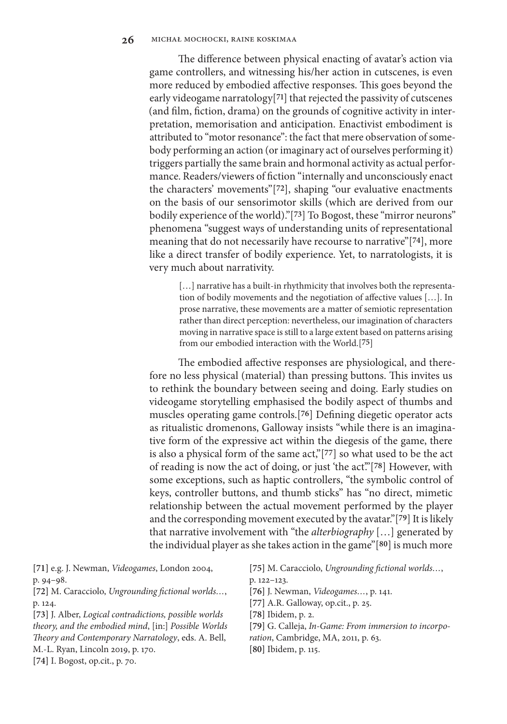The difference between physical enacting of avatar's action via game controllers, and witnessing his/her action in cutscenes, is even more reduced by embodied affective responses. This goes beyond the early videogame narratology[**71**] that rejected the passivity of cutscenes (and film, fiction, drama) on the grounds of cognitive activity in interpretation, memorisation and anticipation. Enactivist embodiment is attributed to "motor resonance": the fact that mere observation of somebody performing an action (or imaginary act of ourselves performing it) triggers partially the same brain and hormonal activity as actual performance. Readers/viewers of fiction "internally and unconsciously enact the characters' movements"[**72**], shaping "our evaluative enactments on the basis of our sensorimotor skills (which are derived from our bodily experience of the world)."[**73**] To Bogost, these "mirror neurons" phenomena "suggest ways of understanding units of representational meaning that do not necessarily have recourse to narrative"[**74**], more like a direct transfer of bodily experience. Yet, to narratologists, it is very much about narrativity.

[...] narrative has a built-in rhythmicity that involves both the representation of bodily movements and the negotiation of affective values […]. In prose narrative, these movements are a matter of semiotic representation rather than direct perception: nevertheless, our imagination of characters moving in narrative space is still to a large extent based on patterns arising from our embodied interaction with the World.[**75**]

The embodied affective responses are physiological, and therefore no less physical (material) than pressing buttons. This invites us to rethink the boundary between seeing and doing. Early studies on videogame storytelling emphasised the bodily aspect of thumbs and muscles operating game controls.[**76**] Defining diegetic operator acts as ritualistic dromenons, Galloway insists "while there is an imaginative form of the expressive act within the diegesis of the game, there is also a physical form of the same act,"[**77**] so what used to be the act of reading is now the act of doing, or just 'the act'."[**78**] However, with some exceptions, such as haptic controllers, "the symbolic control of keys, controller buttons, and thumb sticks" has "no direct, mimetic relationship between the actual movement performed by the player and the corresponding movement executed by the avatar."[**79**] It is likely that narrative involvement with "the *alterbiography* […] generated by the individual player as she takes action in the game"[**80**] is much more

**[71]** e.g. J. Newman, *Videogames*, London 2004, p. 94–98. **[72]** M. Caracciolo, *Ungrounding fictional worlds…*, p. 124. **[73]** J. Alber, *Logical contradictions, possible worlds theory, and the embodied mind*, [in:] *Possible Worlds Theory and Contemporary Narratology*, eds. A. Bell, M.-L. Ryan, Lincoln 2019, p. 170. **[75]** M. Caracciolo, *Ungrounding fictional worlds…*, p. 122–123. **[76]** J. Newman, *Videogames…*, p. 141. **[77]** A.R. Galloway, op.cit., p. 25. **[78]** Ibidem, p. 2. **[79]** G. Calleja, *In-Game: From immersion to incorporation*, Cambridge, MA, 2011, p. 63. **[80]** Ibidem, p. 115.

**[74]** I. Bogost, op.cit., p. 70.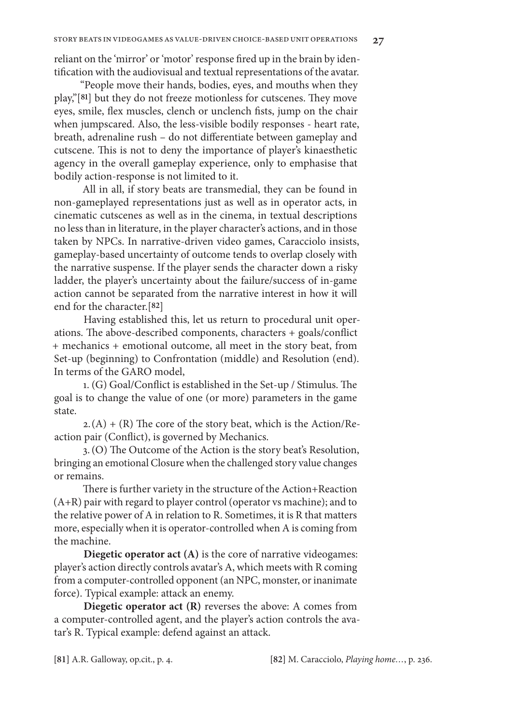reliant on the 'mirror' or 'motor' response fired up in the brain by identification with the audiovisual and textual representations of the avatar.

"People move their hands, bodies, eyes, and mouths when they play,"[**81**] but they do not freeze motionless for cutscenes. They move eyes, smile, flex muscles, clench or unclench fists, jump on the chair when jumpscared. Also, the less-visible bodily responses - heart rate, breath, adrenaline rush – do not differentiate between gameplay and cutscene. This is not to deny the importance of player's kinaesthetic agency in the overall gameplay experience, only to emphasise that bodily action-response is not limited to it.

All in all, if story beats are transmedial, they can be found in non-gameplayed representations just as well as in operator acts, in cinematic cutscenes as well as in the cinema, in textual descriptions no less than in literature, in the player character's actions, and in those taken by NPCs. In narrative-driven video games, Caracciolo insists, gameplay-based uncertainty of outcome tends to overlap closely with the narrative suspense. If the player sends the character down a risky ladder, the player's uncertainty about the failure/success of in-game action cannot be separated from the narrative interest in how it will end for the character.[**82**]

Having established this, let us return to procedural unit operations. The above-described components, characters + goals/conflict + mechanics + emotional outcome, all meet in the story beat, from Set-up (beginning) to Confrontation (middle) and Resolution (end). In terms of the GARO model,

1. (G) Goal/Conflict is established in the Set-up / Stimulus. The goal is to change the value of one (or more) parameters in the game state.

 $2.(A) + (R)$  The core of the story beat, which is the Action/Reaction pair (Conflict), is governed by Mechanics.

3.(O) The Outcome of the Action is the story beat's Resolution, bringing an emotional Closure when the challenged story value changes or remains.

There is further variety in the structure of the Action+Reaction (A+R) pair with regard to player control (operator vs machine); and to the relative power of A in relation to R. Sometimes, it is R that matters more, especially when it is operator-controlled when A is coming from the machine.

**Diegetic operator act (A)** is the core of narrative videogames: player's action directly controls avatar's A, which meets with R coming from a computer-controlled opponent (an NPC, monster, or inanimate force). Typical example: attack an enemy.

**Diegetic operator act (R)** reverses the above: A comes from a computer-controlled agent, and the player's action controls the avatar's R. Typical example: defend against an attack.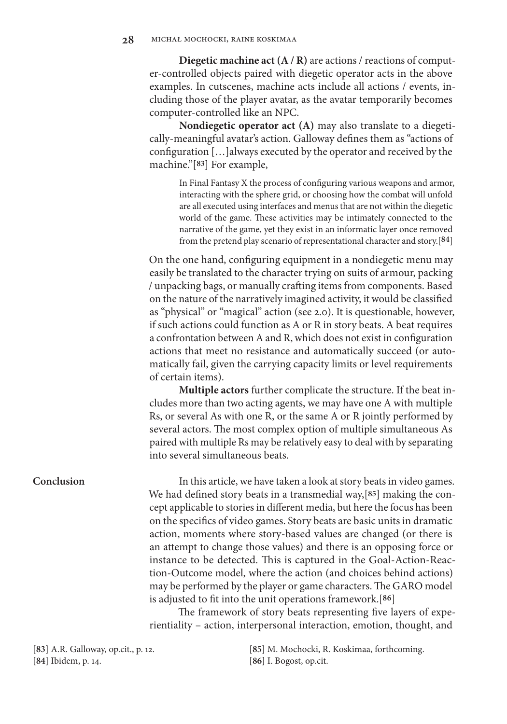**Diegetic machine act (A / R)** are actions / reactions of computer-controlled objects paired with diegetic operator acts in the above examples. In cutscenes, machine acts include all actions / events, including those of the player avatar, as the avatar temporarily becomes computer-controlled like an NPC.

**Nondiegetic operator act (A)** may also translate to a diegetically-meaningful avatar's action. Galloway defines them as "actions of configuration […]always executed by the operator and received by the machine."[**83**] For example,

In Final Fantasy X the process of configuring various weapons and armor, interacting with the sphere grid, or choosing how the combat will unfold are all executed using interfaces and menus that are not within the diegetic world of the game. These activities may be intimately connected to the narrative of the game, yet they exist in an informatic layer once removed from the pretend play scenario of representational character and story.[**84**]

On the one hand, configuring equipment in a nondiegetic menu may easily be translated to the character trying on suits of armour, packing / unpacking bags, or manually crafting items from components. Based on the nature of the narratively imagined activity, it would be classified as "physical" or "magical" action (see 2.0). It is questionable, however, if such actions could function as A or R in story beats. A beat requires a confrontation between A and R, which does not exist in configuration actions that meet no resistance and automatically succeed (or automatically fail, given the carrying capacity limits or level requirements of certain items).

**Multiple actors** further complicate the structure. If the beat includes more than two acting agents, we may have one A with multiple Rs, or several As with one R, or the same A or R jointly performed by several actors. The most complex option of multiple simultaneous As paired with multiple Rs may be relatively easy to deal with by separating into several simultaneous beats.

In this article, we have taken a look at story beats in video games. We had defined story beats in a transmedial way,[**85**] making the concept applicable to stories in different media, but here the focus has been on the specifics of video games. Story beats are basic units in dramatic action, moments where story-based values are changed (or there is an attempt to change those values) and there is an opposing force or instance to be detected. This is captured in the Goal-Action-Reaction-Outcome model, where the action (and choices behind actions) may be performed by the player or game characters. The GARO model is adjusted to fit into the unit operations framework.[**86**]

The framework of story beats representing five layers of experientiality – action, interpersonal interaction, emotion, thought, and

**[83]** A.R. Galloway, op.cit., p. 12. **[84]** Ibidem, p. 14.

**[85]** M. Mochocki, R. Koskimaa, forthcoming. **[86]** I. Bogost, op.cit.

## **Conclusion**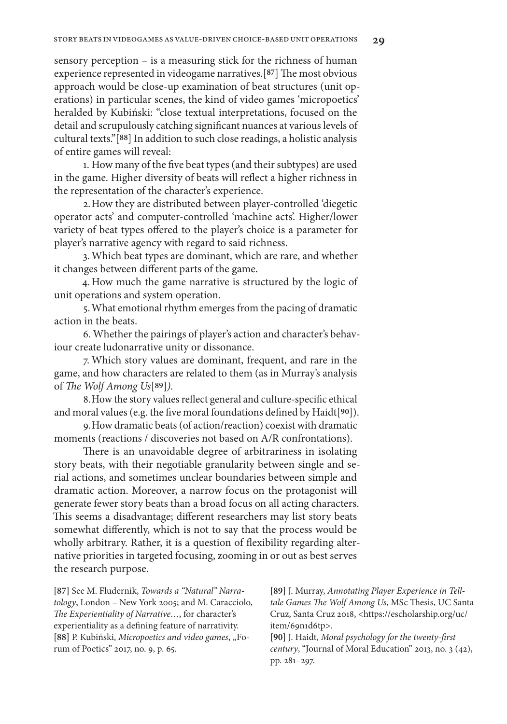sensory perception – is a measuring stick for the richness of human experience represented in videogame narratives.[**87**] The most obvious approach would be close-up examination of beat structures (unit operations) in particular scenes, the kind of video games 'micropoetics' heralded by Kubiński: "close textual interpretations, focused on the detail and scrupulously catching significant nuances at various levels of cultural texts."[**88**] In addition to such close readings, a holistic analysis of entire games will reveal:

1. How many of the five beat types (and their subtypes) are used in the game. Higher diversity of beats will reflect a higher richness in the representation of the character's experience.

2.How they are distributed between player-controlled 'diegetic operator acts' and computer-controlled 'machine acts'. Higher/lower variety of beat types offered to the player's choice is a parameter for player's narrative agency with regard to said richness.

3.Which beat types are dominant, which are rare, and whether it changes between different parts of the game.

4.How much the game narrative is structured by the logic of unit operations and system operation.

5.What emotional rhythm emerges from the pacing of dramatic action in the beats.

6. Whether the pairings of player's action and character's behaviour create ludonarrative unity or dissonance.

7. Which story values are dominant, frequent, and rare in the game, and how characters are related to them (as in Murray's analysis of *The Wolf Among Us*[**89**]*).* 

8.How the story values reflect general and culture-specific ethical and moral values (e.g. the five moral foundations defined by Haidt[**90**]).

9.How dramatic beats (of action/reaction) coexist with dramatic moments (reactions / discoveries not based on A/R confrontations).

There is an unavoidable degree of arbitrariness in isolating story beats, with their negotiable granularity between single and serial actions, and sometimes unclear boundaries between simple and dramatic action. Moreover, a narrow focus on the protagonist will generate fewer story beats than a broad focus on all acting characters. This seems a disadvantage; different researchers may list story beats somewhat differently, which is not to say that the process would be wholly arbitrary. Rather, it is a question of flexibility regarding alternative priorities in targeted focusing, zooming in or out as best serves the research purpose.

**[87]** See M. Fludernik, *Towards a "Natural" Narratology*, London – New York 2005; and M. Caracciolo, The Experientiality of Narrative..., for character's experientiality as a defining feature of narrativity. [88] P. Kubiński, Micropoetics and video games, "Forum of Poetics" 2017, no. 9, p. 65.

**[89]** J. Murray, *Annotating Player Experience in Telltale Games The Wolf Among Us*, MSc Thesis, UC Santa Cruz, Santa Cruz 2018, <https://escholarship.org/uc/ item/69n1d6tp>.

**[90]** J. Haidt, *Moral psychology for the twenty-first century*, "Journal of Moral Education" 2013, no. 3 (42), pp. 281–297.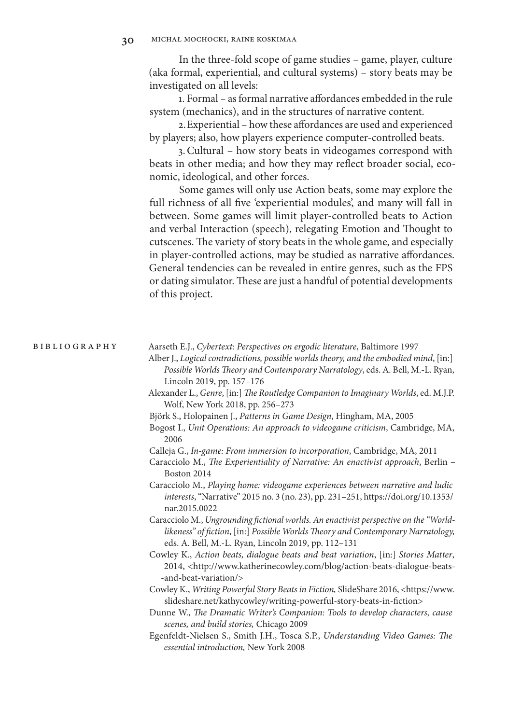In the three-fold scope of game studies – game, player, culture (aka formal, experiential, and cultural systems) – story beats may be investigated on all levels:

1. Formal – as formal narrative affordances embedded in the rule system (mechanics), and in the structures of narrative content.

2.Experiential – how these affordances are used and experienced by players; also, how players experience computer-controlled beats.

3.Cultural – how story beats in videogames correspond with beats in other media; and how they may reflect broader social, economic, ideological, and other forces.

Some games will only use Action beats, some may explore the full richness of all five 'experiential modules', and many will fall in between. Some games will limit player-controlled beats to Action and verbal Interaction (speech), relegating Emotion and Thought to cutscenes. The variety of story beats in the whole game, and especially in player-controlled actions, may be studied as narrative affordances. General tendencies can be revealed in entire genres, such as the FPS or dating simulator. These are just a handful of potential developments of this project.

Aarseth E.J., *Cybertext: Perspectives on ergodic literature*, Baltimore 1997 bibliography

- Alber J., *Logical contradictions, possible worlds theory, and the embodied mind*, [in:] *Possible Worlds Theory and Contemporary Narratology*, eds. A. Bell, M.-L. Ryan, Lincoln 2019, pp. 157–176
- Alexander L., *Genre*, [in:] *The Routledge Companion to Imaginary Worlds*, ed. M.J.P. Wolf, New York 2018, pp. 256–273
- Björk S., Holopainen J., *Patterns in Game Design*, Hingham, MA, 2005
- Bogost I., *Unit Operations: An approach to videogame criticism*, Cambridge, MA, 2006
- Calleja G., *In-game: From immersion to incorporation*, Cambridge, MA, 2011
- Caracciolo M., *The Experientiality of Narrative: An enactivist approach*, Berlin Boston 2014
- Caracciolo M., *Playing home: videogame experiences between narrative and ludic interests*, "Narrative" 2015 no. 3 (no. 23), pp. 231–251, https://doi.org/10.1353/ nar.2015.0022
- Caracciolo M., *Ungrounding fictional worlds. An enactivist perspective on the "Worldlikeness" of fiction*, [in:] *Possible Worlds Theory and Contemporary Narratology,*  eds. A. Bell, M.-L. Ryan, Lincoln 2019, pp. 112–131
- Cowley K., *Action beats, dialogue beats and beat variation*, [in:] *Stories Matter*, 2014, <http://www.katherinecowley.com/blog/action-beats-dialogue-beats- -and-beat-variation/>
- Cowley K., *Writing Powerful Story Beats in Fiction,* SlideShare 2016, <https://www. slideshare.net/kathycowley/writing-powerful-story-beats-in-fiction>
- Dunne W., *The Dramatic Writer's Companion: Tools to develop characters, cause scenes, and build stories,* Chicago 2009
- Egenfeldt-Nielsen S., Smith J.H., Tosca S.P., *Understanding Video Games: The essential introduction,* New York 2008